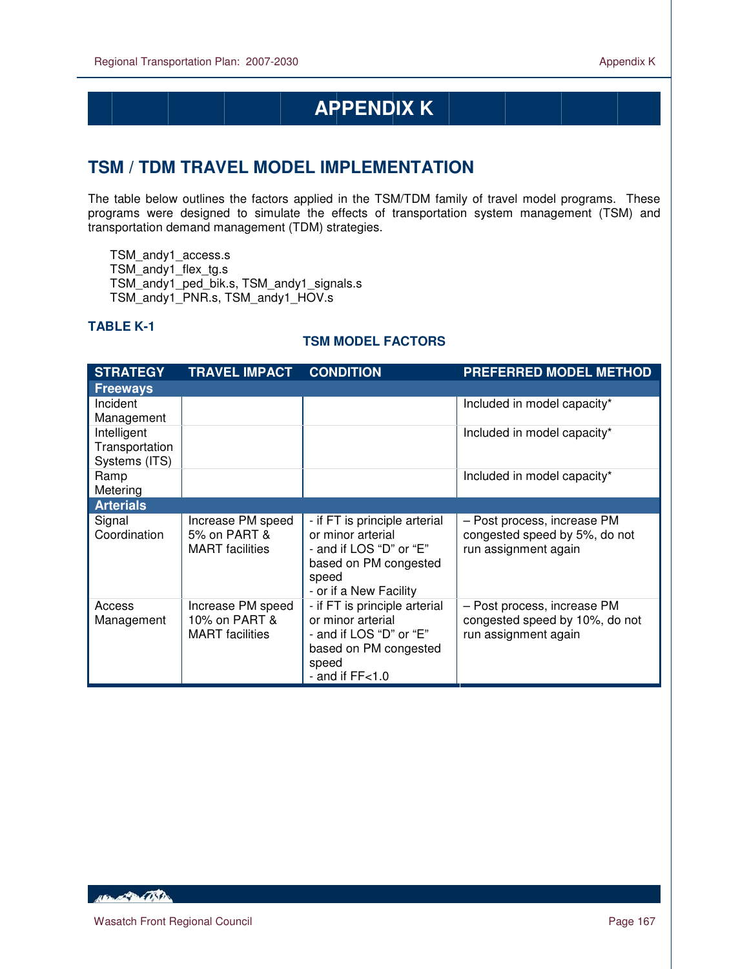# **APPENDIX K**

## **TSM / TDM TRAVEL MODEL IMPLEMENTATION**

The table below outlines the factors applied in the TSM/TDM family of travel model programs. These programs were designed to simulate the effects of transportation system management (TSM) and transportation demand management (TDM) strategies.

TSM\_andy1\_access.s TSM\_andy1\_flex\_tg.s TSM\_andy1\_ped\_bik.s, TSM\_andy1\_signals.s TSM\_andy1\_PNR.s, TSM\_andy1\_HOV.s

#### **TABLE K-1**

 $\overline{a}$ 

#### **TSM MODEL FACTORS**

| <b>STRATEGY</b>                                | <b>TRAVEL IMPACT</b>                                         | <b>CONDITION</b>                                                                                                                          | <b>PREFERRED MODEL METHOD</b>                                                         |
|------------------------------------------------|--------------------------------------------------------------|-------------------------------------------------------------------------------------------------------------------------------------------|---------------------------------------------------------------------------------------|
| <b>Freeways</b>                                |                                                              |                                                                                                                                           |                                                                                       |
| Incident<br>Management                         |                                                              |                                                                                                                                           | Included in model capacity*                                                           |
| Intelligent<br>Transportation<br>Systems (ITS) |                                                              |                                                                                                                                           | Included in model capacity*                                                           |
| Ramp<br>Metering                               |                                                              |                                                                                                                                           | Included in model capacity*                                                           |
| <b>Arterials</b>                               |                                                              |                                                                                                                                           |                                                                                       |
| Signal<br>Coordination                         | Increase PM speed<br>5% on PART &<br><b>MART</b> facilities  | - if FT is principle arterial<br>or minor arterial<br>- and if LOS "D" or "E"<br>based on PM congested<br>speed<br>- or if a New Facility | - Post process, increase PM<br>congested speed by 5%, do not<br>run assignment again  |
| Access<br>Management                           | Increase PM speed<br>10% on PART &<br><b>MART</b> facilities | - if FT is principle arterial<br>or minor arterial<br>- and if LOS "D" or "E"<br>based on PM congested<br>speed<br>- and if $FF<1.0$      | - Post process, increase PM<br>congested speed by 10%, do not<br>run assignment again |

Hampton Charles